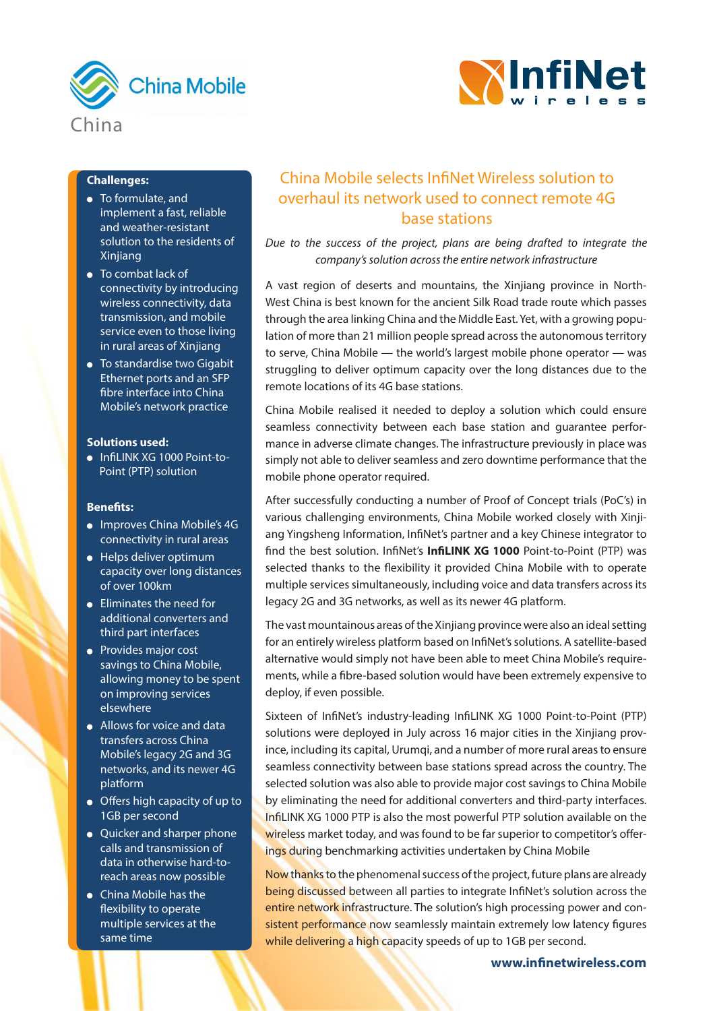



## **Challenges:**

- To formulate, and implement a fast, reliable and weather-resistant solution to the residents of Xinjiang
- To combat lack of connectivity by introducing wireless connectivity, data transmission, and mobile service even to those living in rural areas of Xinjiang
- To standardise two Gigabit Ethernet ports and an SFP fibre interface into China Mobile's network practice

#### **Solutions used:**

 $\bullet$  InfiLINK XG 1000 Point-to-Point (PTP) solution

### **Benefits:**

- Improves China Mobile's 4G connectivity in rural areas
- Helps deliver optimum capacity over long distances of over 100km
- Eliminates the need for additional converters and third part interfaces
- Provides major cost savings to China Mobile, allowing money to be spent on improving services elsewhere
- Allows for voice and data transfers across China Mobile's legacy 2G and 3G networks, and its newer 4G platform
- Offers high capacity of up to 1GB per second
- Quicker and sharper phone calls and transmission of data in otherwise hard-toreach areas now possible
- China Mobile has the flexibility to operate multiple services at the same time

# China Mobile selects InfiNet Wireless solution to overhaul its network used to connect remote 4G base stations

*Due to the success of the project, plans are being drafted to integrate the company's solution across the entire network infrastructure*

A vast region of deserts and mountains, the Xinjiang province in North-West China is best known for the ancient Silk Road trade route which passes through the area linking China and the Middle East. Yet, with a growing population of more than 21 million people spread across the autonomous territory to serve, China Mobile — the world's largest mobile phone operator — was struggling to deliver optimum capacity over the long distances due to the remote locations of its 4G base stations.

China Mobile realised it needed to deploy a solution which could ensure seamless connectivity between each base station and guarantee performance in adverse climate changes. The infrastructure previously in place was simply not able to deliver seamless and zero downtime performance that the mobile phone operator required.

After successfully conducting a number of Proof of Concept trials (PoC's) in various challenging environments, China Mobile worked closely with Xinjiang Yingsheng Information, InfiNet's partner and a key Chinese integrator to find the best solution. InfiNet's **InfiLINK XG 1000** Point-to-Point (PTP) was selected thanks to the flexibility it provided China Mobile with to operate multiple services simultaneously, including voice and data transfers across its legacy 2G and 3G networks, as well as its newer 4G platform.

The vast mountainous areas of the Xinjiang province were also an ideal setting for an entirely wireless platform based on InfiNet's solutions. A satellite-based alternative would simply not have been able to meet China Mobile's requirements, while a fibre-based solution would have been extremely expensive to deploy, if even possible.

Sixteen of InfiNet's industry-leading InfiLINK XG 1000 Point-to-Point (PTP) solutions were deployed in July across 16 major cities in the Xinjiang province, including its capital, Urumqi, and a number of more rural areas to ensure seamless connectivity between base stations spread across the country. The selected solution was also able to provide major cost savings to China Mobile by eliminating the need for additional converters and third-party interfaces. InfiLINK XG 1000 PTP is also the most powerful PTP solution available on the wireless market today, and was found to be far superior to competitor's offerings during benchmarking activities undertaken by China Mobile

Now thanks to the phenomenal success of the project, future plans are already being discussed between all parties to integrate InfiNet's solution across the entire network infrastructure. The solution's high processing power and consistent performance now seamlessly maintain extremely low latency figures while delivering a high capacity speeds of up to 1GB per second.